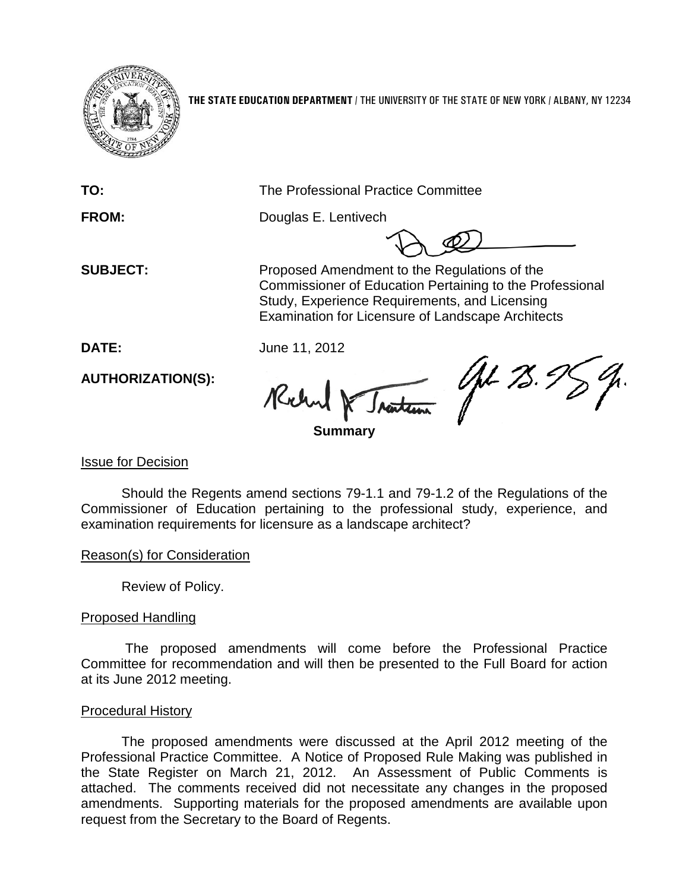

**THE STATE EDUCATION DEPARTMENT** / THE UNIVERSITY OF THE STATE OF NEW YORK / ALBANY, NY 12234

**TO:** The Professional Practice Committee

**FROM:** Douglas E. Lentivech

**SUBJECT:** Proposed Amendment to the Regulations of the Commissioner of Education Pertaining to the Professional Study, Experience Requirements, and Licensing Examination for Licensure of Landscape Architects

**DATE:** June 11, 2012

**AUTHORIZATION(S):**

AL 75. Richard Iraiten

**Summary**

## Issue for Decision

Should the Regents amend sections 79-1.1 and 79-1.2 of the Regulations of the Commissioner of Education pertaining to the professional study, experience, and examination requirements for licensure as a landscape architect?

Reason(s) for Consideration

Review of Policy.

# Proposed Handling

The proposed amendments will come before the Professional Practice Committee for recommendation and will then be presented to the Full Board for action at its June 2012 meeting.

## Procedural History

The proposed amendments were discussed at the April 2012 meeting of the Professional Practice Committee. A Notice of Proposed Rule Making was published in the State Register on March 21, 2012. An Assessment of Public Comments is attached. The comments received did not necessitate any changes in the proposed amendments. Supporting materials for the proposed amendments are available upon request from the Secretary to the Board of Regents.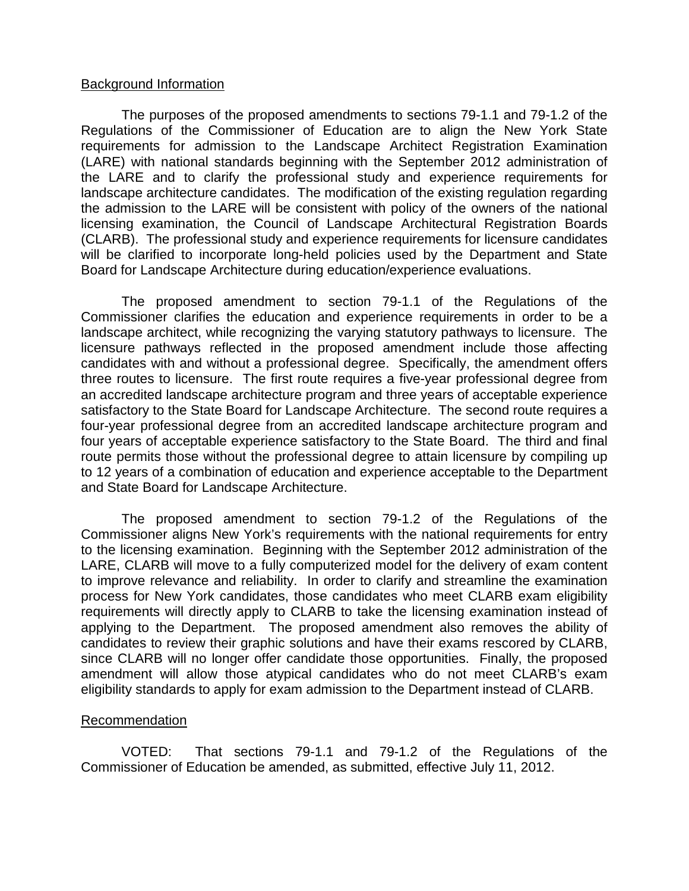## Background Information

The purposes of the proposed amendments to sections 79-1.1 and 79-1.2 of the Regulations of the Commissioner of Education are to align the New York State requirements for admission to the Landscape Architect Registration Examination (LARE) with national standards beginning with the September 2012 administration of the LARE and to clarify the professional study and experience requirements for landscape architecture candidates. The modification of the existing regulation regarding the admission to the LARE will be consistent with policy of the owners of the national licensing examination, the Council of Landscape Architectural Registration Boards (CLARB). The professional study and experience requirements for licensure candidates will be clarified to incorporate long-held policies used by the Department and State Board for Landscape Architecture during education/experience evaluations.

The proposed amendment to section 79-1.1 of the Regulations of the Commissioner clarifies the education and experience requirements in order to be a landscape architect, while recognizing the varying statutory pathways to licensure. The licensure pathways reflected in the proposed amendment include those affecting candidates with and without a professional degree. Specifically, the amendment offers three routes to licensure. The first route requires a five-year professional degree from an accredited landscape architecture program and three years of acceptable experience satisfactory to the State Board for Landscape Architecture. The second route requires a four-year professional degree from an accredited landscape architecture program and four years of acceptable experience satisfactory to the State Board. The third and final route permits those without the professional degree to attain licensure by compiling up to 12 years of a combination of education and experience acceptable to the Department and State Board for Landscape Architecture.

The proposed amendment to section 79-1.2 of the Regulations of the Commissioner aligns New York's requirements with the national requirements for entry to the licensing examination. Beginning with the September 2012 administration of the LARE, CLARB will move to a fully computerized model for the delivery of exam content to improve relevance and reliability. In order to clarify and streamline the examination process for New York candidates, those candidates who meet CLARB exam eligibility requirements will directly apply to CLARB to take the licensing examination instead of applying to the Department. The proposed amendment also removes the ability of candidates to review their graphic solutions and have their exams rescored by CLARB, since CLARB will no longer offer candidate those opportunities. Finally, the proposed amendment will allow those atypical candidates who do not meet CLARB's exam eligibility standards to apply for exam admission to the Department instead of CLARB.

## Recommendation

VOTED: That sections 79-1.1 and 79-1.2 of the Regulations of the Commissioner of Education be amended, as submitted, effective July 11, 2012.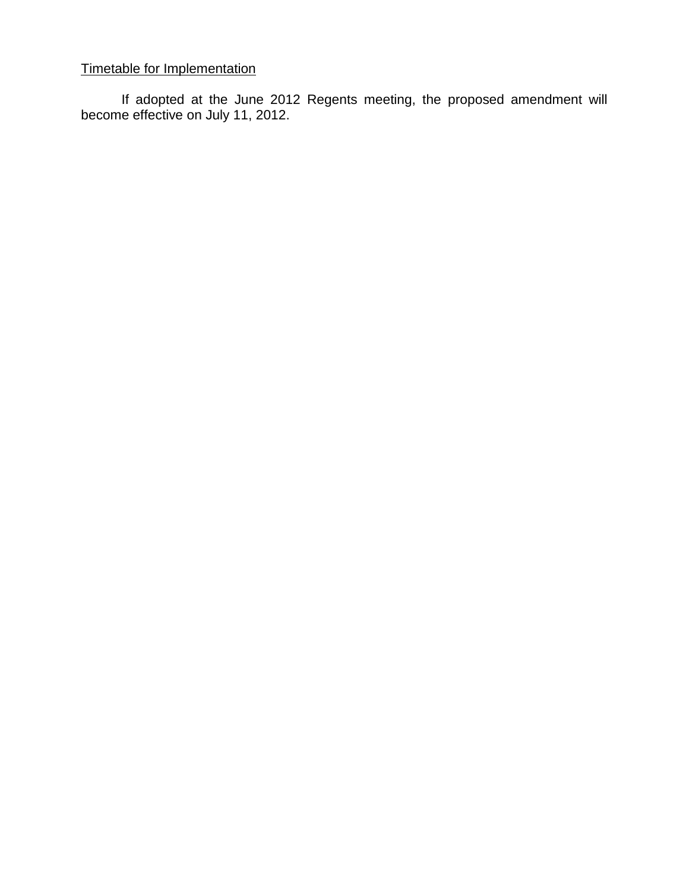# Timetable for Implementation

If adopted at the June 2012 Regents meeting, the proposed amendment will become effective on July 11, 2012.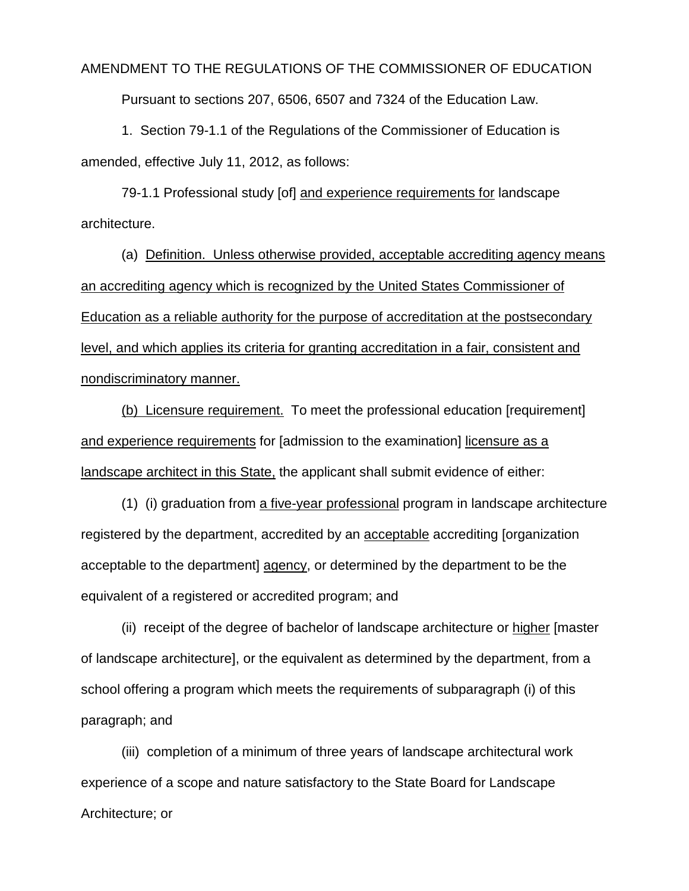### AMENDMENT TO THE REGULATIONS OF THE COMMISSIONER OF EDUCATION

Pursuant to sections 207, 6506, 6507 and 7324 of the Education Law.

1. Section 79-1.1 of the Regulations of the Commissioner of Education is amended, effective July 11, 2012, as follows:

79-1.1 Professional study [of] and experience requirements for landscape architecture.

(a) Definition. Unless otherwise provided, acceptable accrediting agency means an accrediting agency which is recognized by the United States Commissioner of Education as a reliable authority for the purpose of accreditation at the postsecondary level, and which applies its criteria for granting accreditation in a fair, consistent and nondiscriminatory manner.

(b) Licensure requirement. To meet the professional education [requirement] and experience requirements for [admission to the examination] licensure as a landscape architect in this State, the applicant shall submit evidence of either:

(1) (i) graduation from a five-year professional program in landscape architecture registered by the department, accredited by an acceptable accrediting [organization acceptable to the department] agency, or determined by the department to be the equivalent of a registered or accredited program; and

(ii) receipt of the degree of bachelor of landscape architecture or higher [master of landscape architecture], or the equivalent as determined by the department, from a school offering a program which meets the requirements of subparagraph (i) of this paragraph; and

(iii) completion of a minimum of three years of landscape architectural work experience of a scope and nature satisfactory to the State Board for Landscape Architecture; or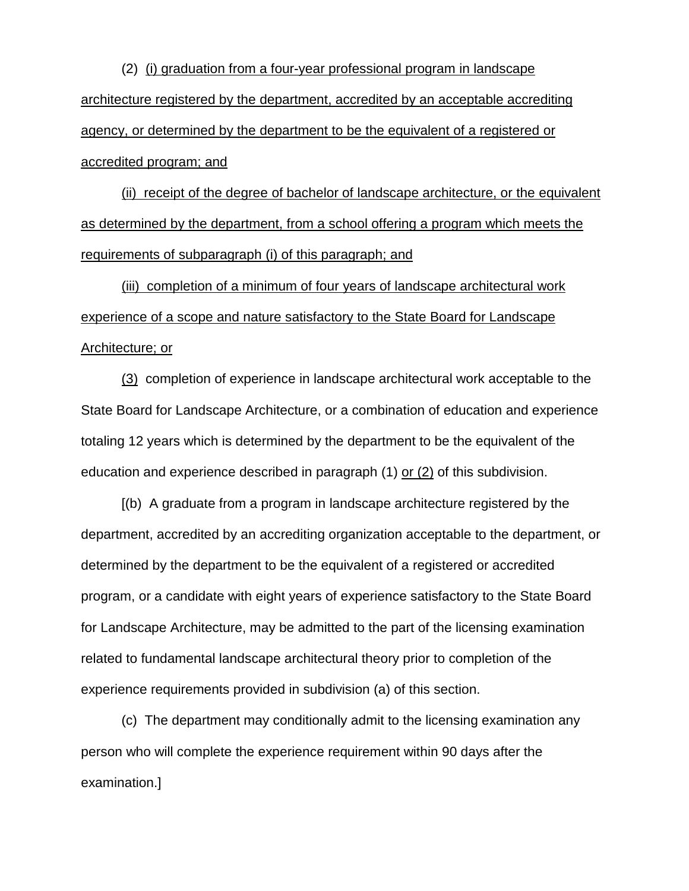(2) (i) graduation from a four-year professional program in landscape architecture registered by the department, accredited by an acceptable accrediting agency, or determined by the department to be the equivalent of a registered or accredited program; and

(ii) receipt of the degree of bachelor of landscape architecture, or the equivalent as determined by the department, from a school offering a program which meets the requirements of subparagraph (i) of this paragraph; and

(iii) completion of a minimum of four years of landscape architectural work experience of a scope and nature satisfactory to the State Board for Landscape Architecture; or

(3) completion of experience in landscape architectural work acceptable to the State Board for Landscape Architecture, or a combination of education and experience totaling 12 years which is determined by the department to be the equivalent of the education and experience described in paragraph (1) or (2) of this subdivision.

[(b) A graduate from a program in landscape architecture registered by the department, accredited by an accrediting organization acceptable to the department, or determined by the department to be the equivalent of a registered or accredited program, or a candidate with eight years of experience satisfactory to the State Board for Landscape Architecture, may be admitted to the part of the licensing examination related to fundamental landscape architectural theory prior to completion of the experience requirements provided in subdivision (a) of this section.

(c) The department may conditionally admit to the licensing examination any person who will complete the experience requirement within 90 days after the examination.]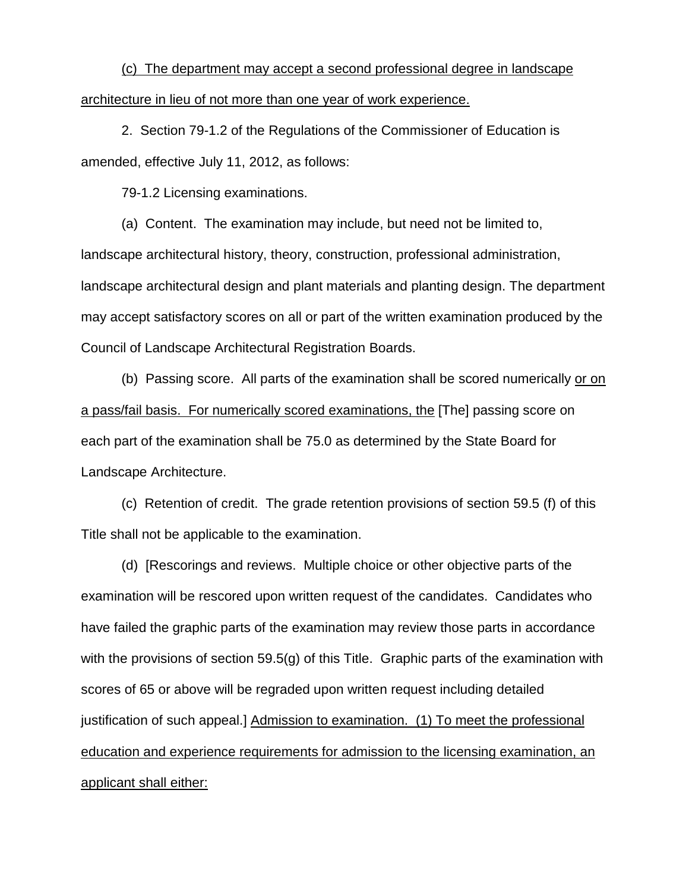(c) The department may accept a second professional degree in landscape architecture in lieu of not more than one year of work experience.

2. Section 79-1.2 of the Regulations of the Commissioner of Education is amended, effective July 11, 2012, as follows:

79-1.2 Licensing examinations.

(a) Content. The examination may include, but need not be limited to,

landscape architectural history, theory, construction, professional administration, landscape architectural design and plant materials and planting design. The department may accept satisfactory scores on all or part of the written examination produced by the Council of Landscape Architectural Registration Boards.

(b) Passing score. All parts of the examination shall be scored numerically or on a pass/fail basis. For numerically scored examinations, the [The] passing score on each part of the examination shall be 75.0 as determined by the State Board for Landscape Architecture.

(c) Retention of credit. The grade retention provisions of section 59.5 (f) of this Title shall not be applicable to the examination.

(d) [Rescorings and reviews. Multiple choice or other objective parts of the examination will be rescored upon written request of the candidates. Candidates who have failed the graphic parts of the examination may review those parts in accordance with the provisions of section 59.5(g) of this Title. Graphic parts of the examination with scores of 65 or above will be regraded upon written request including detailed justification of such appeal.] Admission to examination. (1) To meet the professional education and experience requirements for admission to the licensing examination, an applicant shall either: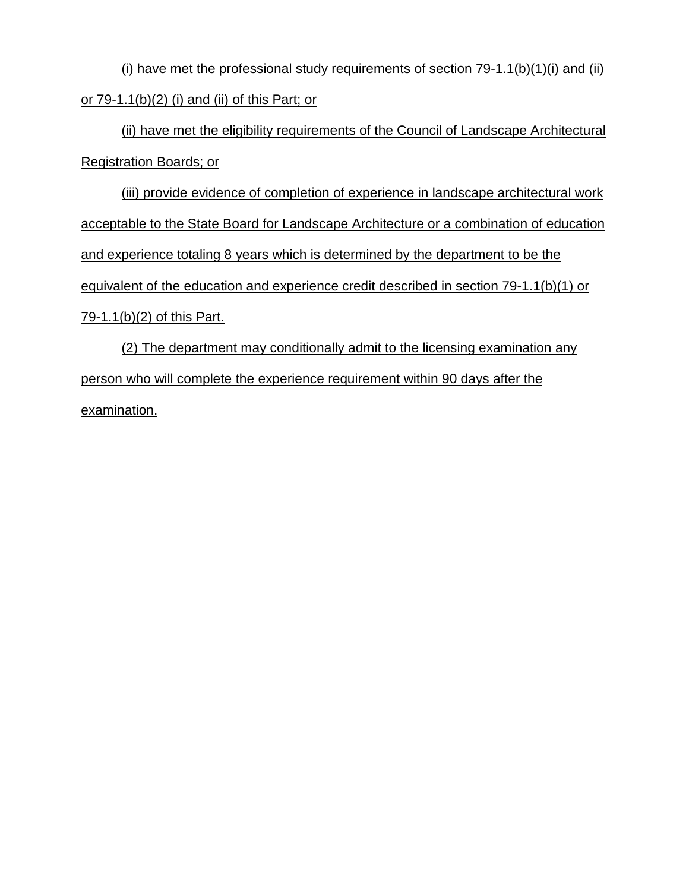(i) have met the professional study requirements of section  $79-1.1(b)(1)(i)$  and (ii) or 79-1.1(b)(2) (i) and (ii) of this Part; or

(ii) have met the eligibility requirements of the Council of Landscape Architectural Registration Boards; or

(iii) provide evidence of completion of experience in landscape architectural work acceptable to the State Board for Landscape Architecture or a combination of education and experience totaling 8 years which is determined by the department to be the equivalent of the education and experience credit described in section 79-1.1(b)(1) or 79-1.1(b)(2) of this Part.

(2) The department may conditionally admit to the licensing examination any person who will complete the experience requirement within 90 days after the examination.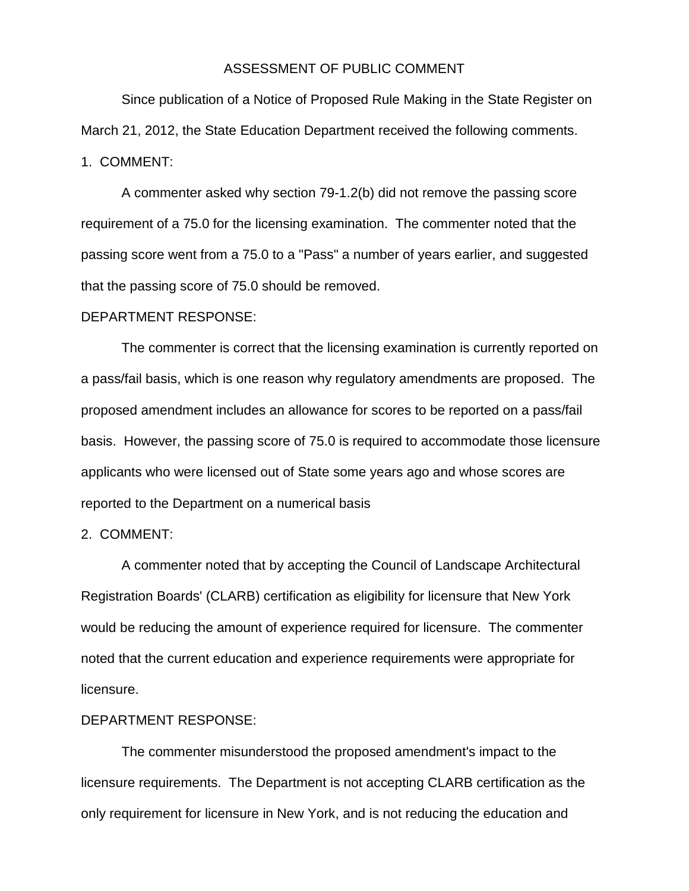#### ASSESSMENT OF PUBLIC COMMENT

Since publication of a Notice of Proposed Rule Making in the State Register on March 21, 2012, the State Education Department received the following comments. 1. COMMENT:

A commenter asked why section 79-1.2(b) did not remove the passing score requirement of a 75.0 for the licensing examination. The commenter noted that the passing score went from a 75.0 to a "Pass" a number of years earlier, and suggested that the passing score of 75.0 should be removed.

#### DEPARTMENT RESPONSE:

The commenter is correct that the licensing examination is currently reported on a pass/fail basis, which is one reason why regulatory amendments are proposed. The proposed amendment includes an allowance for scores to be reported on a pass/fail basis. However, the passing score of 75.0 is required to accommodate those licensure applicants who were licensed out of State some years ago and whose scores are reported to the Department on a numerical basis

#### 2. COMMENT:

A commenter noted that by accepting the Council of Landscape Architectural Registration Boards' (CLARB) certification as eligibility for licensure that New York would be reducing the amount of experience required for licensure. The commenter noted that the current education and experience requirements were appropriate for licensure.

## DEPARTMENT RESPONSE:

The commenter misunderstood the proposed amendment's impact to the licensure requirements. The Department is not accepting CLARB certification as the only requirement for licensure in New York, and is not reducing the education and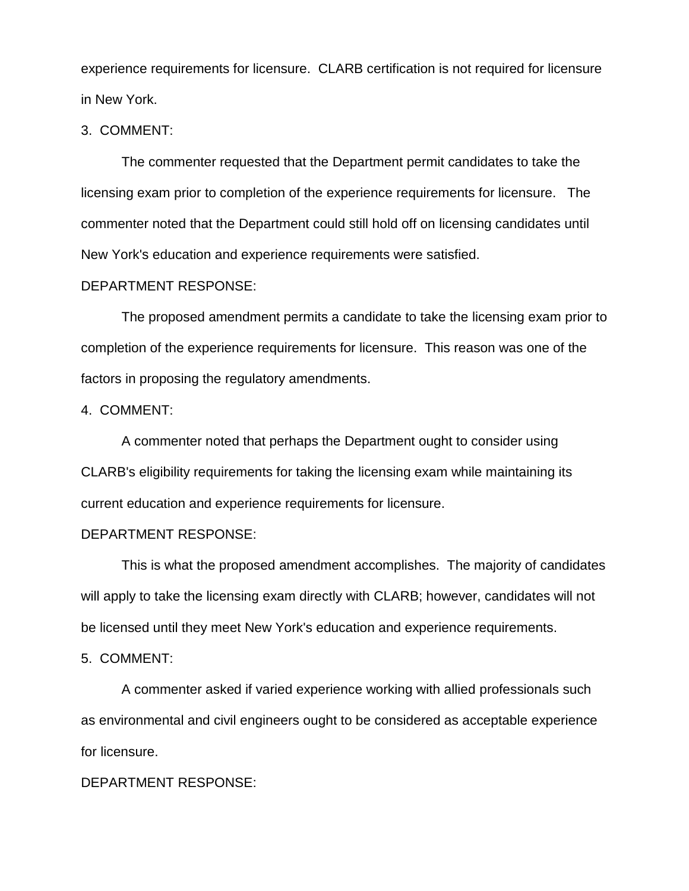experience requirements for licensure. CLARB certification is not required for licensure in New York.

### 3. COMMENT:

The commenter requested that the Department permit candidates to take the licensing exam prior to completion of the experience requirements for licensure. The commenter noted that the Department could still hold off on licensing candidates until New York's education and experience requirements were satisfied.

#### DEPARTMENT RESPONSE:

The proposed amendment permits a candidate to take the licensing exam prior to completion of the experience requirements for licensure. This reason was one of the factors in proposing the regulatory amendments.

## 4. COMMENT:

A commenter noted that perhaps the Department ought to consider using CLARB's eligibility requirements for taking the licensing exam while maintaining its current education and experience requirements for licensure.

### DEPARTMENT RESPONSE:

This is what the proposed amendment accomplishes. The majority of candidates will apply to take the licensing exam directly with CLARB; however, candidates will not be licensed until they meet New York's education and experience requirements.

#### 5. COMMENT:

A commenter asked if varied experience working with allied professionals such as environmental and civil engineers ought to be considered as acceptable experience for licensure.

## DEPARTMENT RESPONSE: